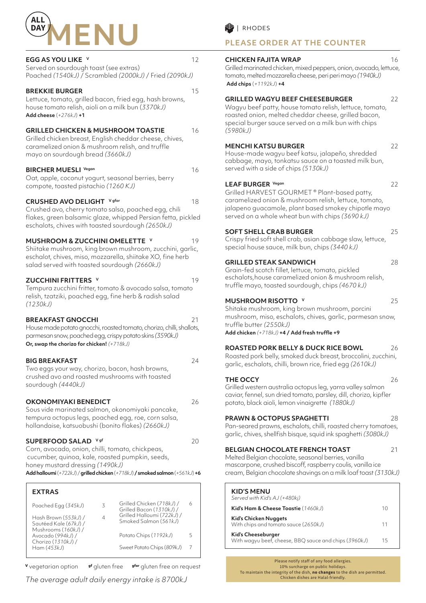

#### **EGG AS YOU LIKE v** 12

| Served on sourdough toast (see extras)                 |
|--------------------------------------------------------|
| Poached (1540kJ) / Scrambled (2000kJ) / Fried (2090kJ) |

#### **BREKKIE BURGER** 15

Lettuce, tomato, grilled bacon, fried egg, hash browns, house tomato relish, aioli on a milk bun (*3370kJ)* **Add cheese** (*+276kJ*) **+1**

## **GRILLED CHICKEN & MUSHROOM TOASTIE** 16

Grilled chicken breast, English cheddar cheese, chives, caramelized onion & mushroom relish, and truffle mayo on sourdough bread *(3660kJ)*

#### **BIRCHER MUESLI** Vegan 16

Oat, apple, coconut yogurt, seasonal berries, berry compote, toasted pistachio *(1260 KJ)*

#### **CRUSHED AVO DELIGHT** Vgfor **18**

Crushed avo, cherry tomato salsa, poached egg, chili flakes, green balsamic glaze, whipped Persian fetta, pickled eschalots, chives with toasted sourdough *(2650kJ)*

#### **MUSHROOM & ZUCCHINI OMELETTE V** 19

Shiitake mushroom, king brown mushroom, zucchini, garlic, eschalot, chives, miso, mozzarella, shiitake XO, fine herb salad served with toasted sourdough *(2660kJ)*

#### **ZUCCHINI FRITTERS v** 19

Tempura zucchini fritter, tomato & avocado salsa, tomato relish, tzatziki, poached egg, fine herb & radish salad *(1230kJ)*

#### **BREAKFAST GNOCCHI** 21

House made potato gnocchi, roasted tomato, chorizo, chilli, shallots, parmesan snow, poached egg, crispy potato skins *(3590kJ)* **Or, swap the chorizo for chicken!** *(+718kJ)*

#### **BIG BREAKFAST** 24

Two eggs your way, chorizo, bacon, hash browns, crushed avo and roasted mushrooms with toasted sourdough *(4440kJ)*

### **OKONOMIYAKI BENEDICT** 26

Sous vide marinated salmon, okonomiyaki pancake, tempura octopus legs, poached egg, roe, corn salsa, hollandaise, katsuobushi (bonito flakes) *(2660kJ)*

### **SUPERFOOD SALAD** <sup>V gf</sup> 20

Corn, avocado, onion, chilli, tomato, chickpeas, cucumber, quinoa, kale, roasted pumpkin, seeds, honey mustard dressing *(1490kJ)*

**Add halloumi** (*+722kJ*) / **grilled chicken** (*+718kJ*) **/ smoked salmon** (*+561kJ*) **+6**

| ζ | Grilled Chicken (718kJ) /<br>Grilled Bacon (1310kJ) / | 6                          |
|---|-------------------------------------------------------|----------------------------|
|   | Smoked Salmon (561kJ)                                 |                            |
|   | Potato Chips (1192kJ)                                 | 5                          |
|   | Sweet Potato Chips (809kJ)                            |                            |
|   |                                                       | Grilled Halloumi (722kJ) / |

**<sup>V</sup>** vegetarian option **gf** gluten free **gfor** gluten free on request

*The average adult daily energy intake is 8700kJ*

# **PLEASE ORDER AT THE COUNTER**

#### **CHICKEN FAJITA WRAP** 16

Grilled marinated chicken, mixed peppers, onion, avocado, lettuce, tomato, melted mozzarella cheese, peri peri mayo *(1940kJ)* **Add chips** (*+1192kJ*) **+4**

#### **GRILLED WAGYU BEEF CHEESEBURGER** 22

Wagyu beef patty, house tomato relish, lettuce, tomato, roasted onion, melted cheddar cheese, grilled bacon, special burger sauce served on a milk bun with chips *(5980kJ)*

#### **MENCHI KATSU BURGER** 22

House-made wagyu beef katsu, jalapeño, shredded cabbage, mayo, tonkatsu sauce on a toasted milk bun, served with a side of chips *(5130kJ)*

#### **LEAF BURGER Vegan** 22

Grilled HARVEST GOURMET ® Plant-based patty, caramelized onion & mushroom relish, lettuce, tomato, jalapeno guacamole, plant based smokey chipotle mayo served on a whole wheat bun with chips *(3690 kJ)*

### **SOFT SHELL CRAB BURGER** 25

Crispy fried soft shell crab, asian cabbage slaw, lettuce, special house sauce, milk bun, chips *(3440 kJ)*

### **GRILLED STEAK SANDWICH** 28

Grain-fed scotch fillet, lettuce, tomato, pickled eschalots,house caramelized onion & mushroom relish, truffle mayo, toasted sourdough, chips *(4670 kJ)*

# **MUSHROOM RISOTTO V** 25

Shitake mushroom, king brown mushroom, porcini mushroom, miso, eschalots, chives, garlic, parmesan snow, truffle butter *(2550kJ)* **Add chicken** *(+718kJ)* **+4 / Add fresh truffle +9**

### **ROASTED PORK BELLY & DUCK RICE BOWL** 26

Roasted pork belly, smoked duck breast, broccolini, zucchini, garlic, eschalots, chilli, brown rice, fried egg *(2610kJ)*

#### **THE OCCY** 26

Grilled western australia octopus leg, yarra valley salmon caviar, fennel, sun dried tomato, parsley, dill, chorizo, kipfler potato, black aioli, lemon vinaigrette *(1880kJ)*

### **PRAWN & OCTOPUS SPAGHETTI** 28

Pan-seared prawns, eschalots, chilli, roasted cherry tomatoes, garlic, chives, shellfish bisque, squid ink spaghetti *(3080kJ)*

### **BELGIAN CHOCOLATE FRENCH TOAST** 21

Melted Belgian chocolate, seasonal berries, vanilla mascarpone, crushed biscoff, raspberry coulis, vanilla ice cream, Belgian chocolate shavings on a milk loaf toast *(3130kJ)*

| <b>KID'S MENU</b><br>Served with Kid's AJ (+480kj)                                 |    |
|------------------------------------------------------------------------------------|----|
| Kid's Ham & Cheese Toastie (1460kJ)                                                | 10 |
| Kid's Chicken Nuggets<br>With chips and tomato sauce (2650kJ)                      | 11 |
| <b>Kid's Cheeseburger</b><br>With wagyu beef, cheese, BBQ sauce and chips (3960kJ) | 15 |